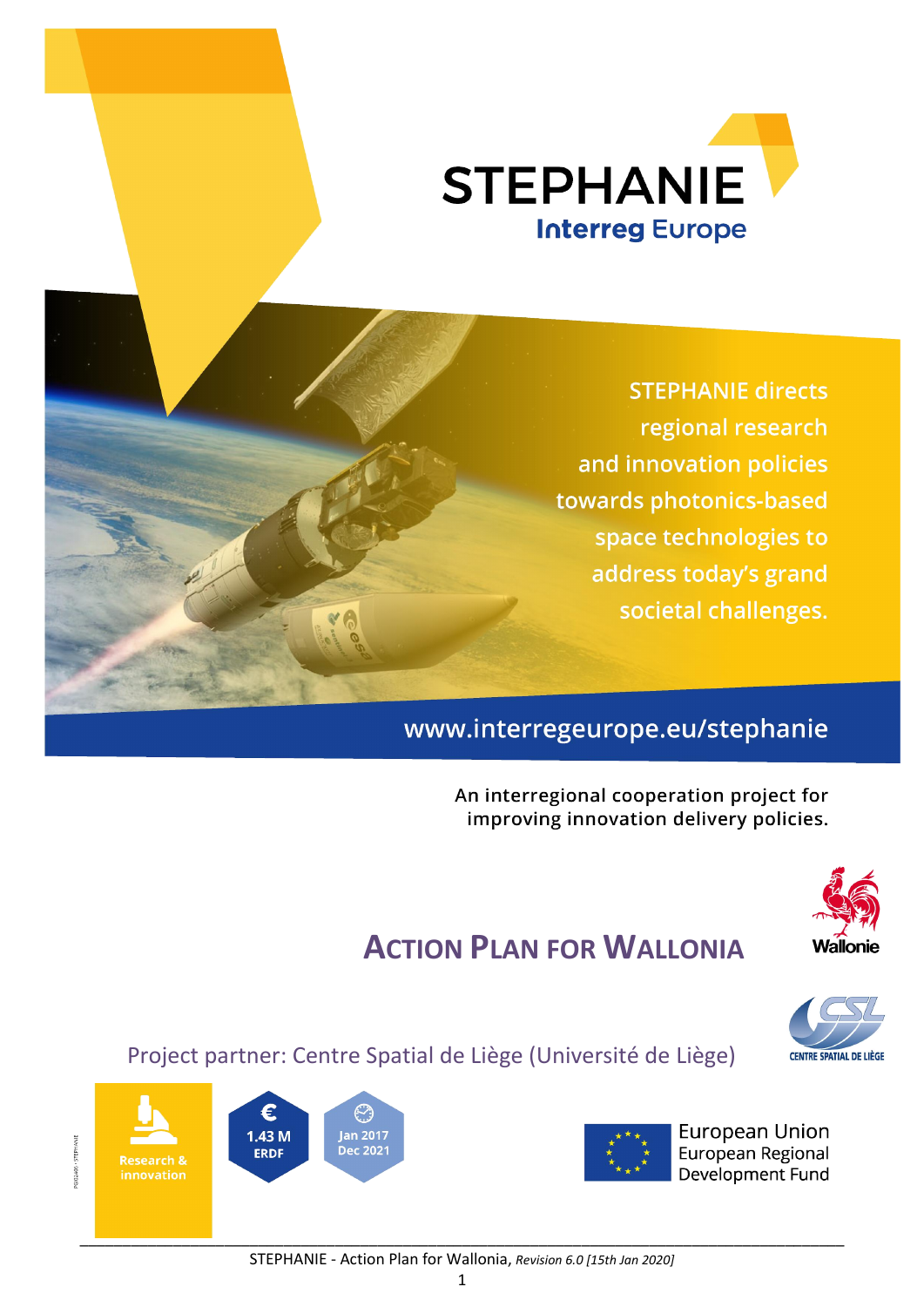

**STEPHANIE directs** regional research and innovation policies towards photonics-based space technologies to address today's grand societal challenges.

## www.interregeurope.eu/stephanie

An interregional cooperation project for improving innovation delivery policies.



# ACTION PLAN FOR WALLONIA



Project partner: Centre Spatial de Liège (Université de Liège)



**European Union** European Regional Development Fund



GI02406 · STEPHANIE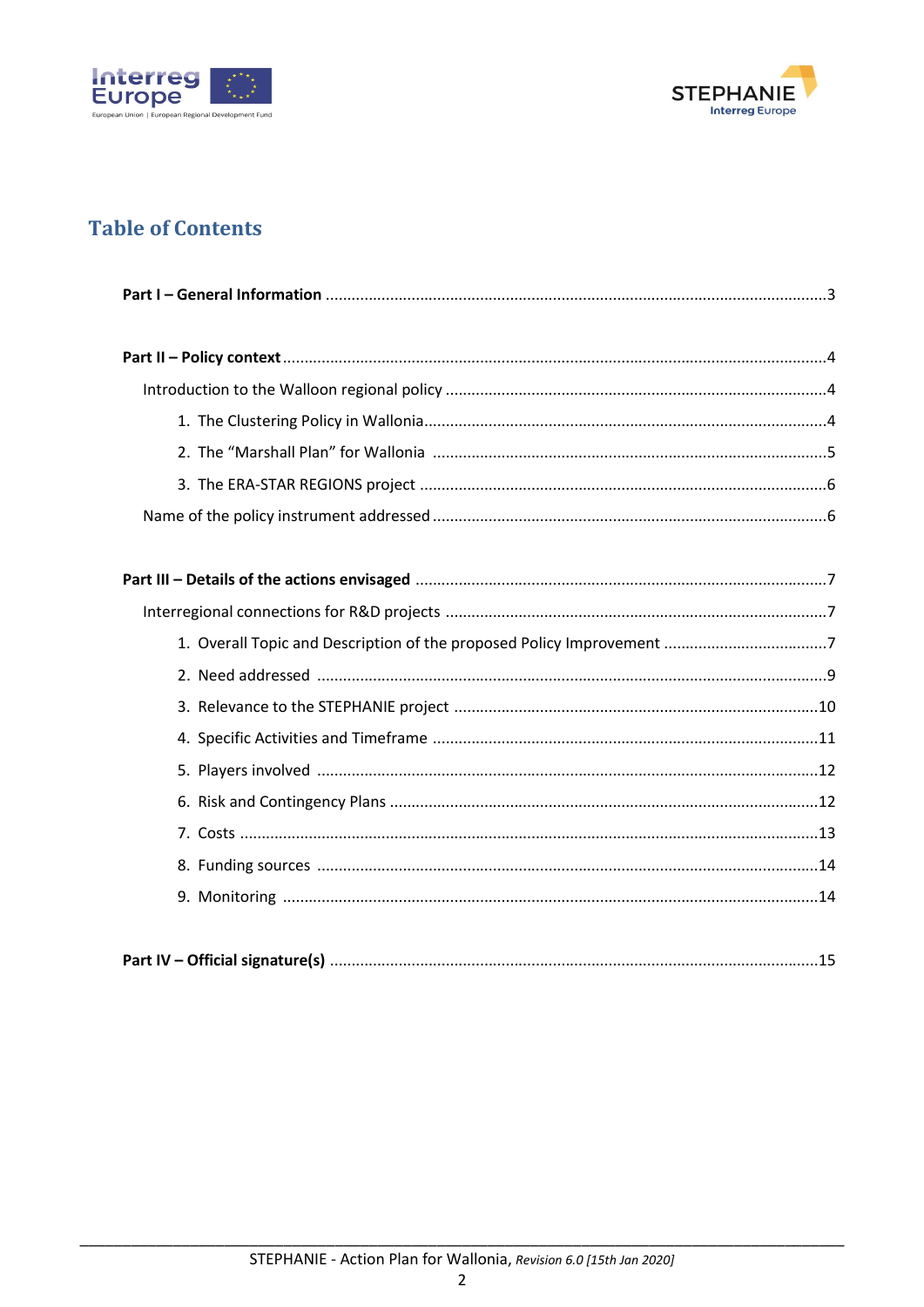



## **Table of Contents**

|--|--|--|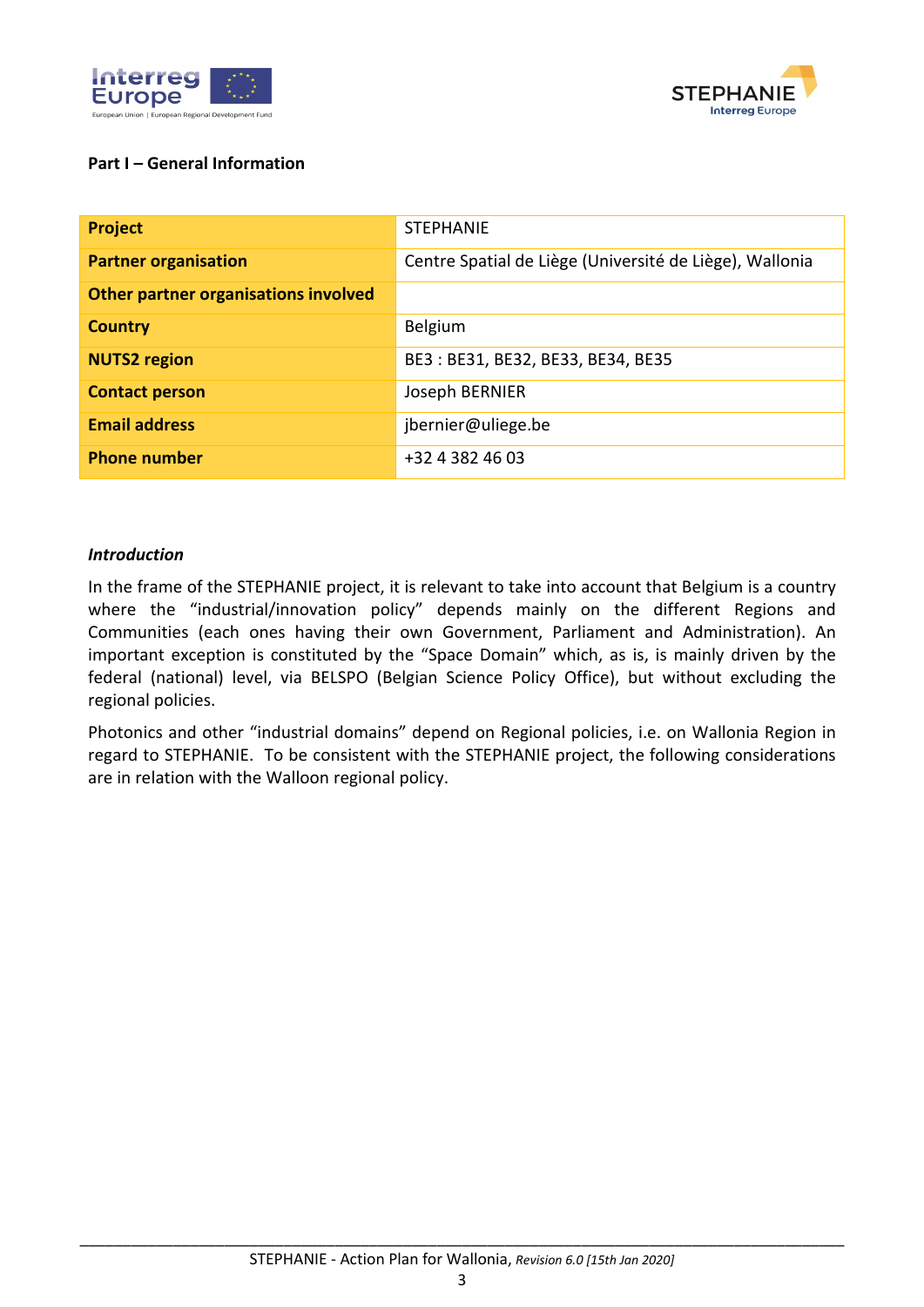



#### Part I – General Information

| <b>Project</b>                       | <b>STEPHANIE</b>                                        |
|--------------------------------------|---------------------------------------------------------|
| <b>Partner organisation</b>          | Centre Spatial de Liège (Université de Liège), Wallonia |
| Other partner organisations involved |                                                         |
| <b>Country</b>                       | Belgium                                                 |
| <b>NUTS2</b> region                  | BE3: BE31, BE32, BE33, BE34, BE35                       |
| <b>Contact person</b>                | Joseph BERNIER                                          |
| <b>Email address</b>                 | jbernier@uliege.be                                      |
| <b>Phone number</b>                  | +32 4 382 46 03                                         |

#### *Introduction*

In the frame of the STEPHANIE project, it is relevant to take into account that Belgium is a country where the "industrial/innovation policy" depends mainly on the different Regions and Communities (each ones having their own Government, Parliament and Administration). An important exception is constituted by the "Space Domain" which, as is, is mainly driven by the federal (national) level, via BELSPO (Belgian Science Policy Office), but without excluding the regional policies.

Photonics and other "industrial domains" depend on Regional policies, i.e. on Wallonia Region in regard to STEPHANIE. To be consistent with the STEPHANIE project, the following considerations are in relation with the Walloon regional policy.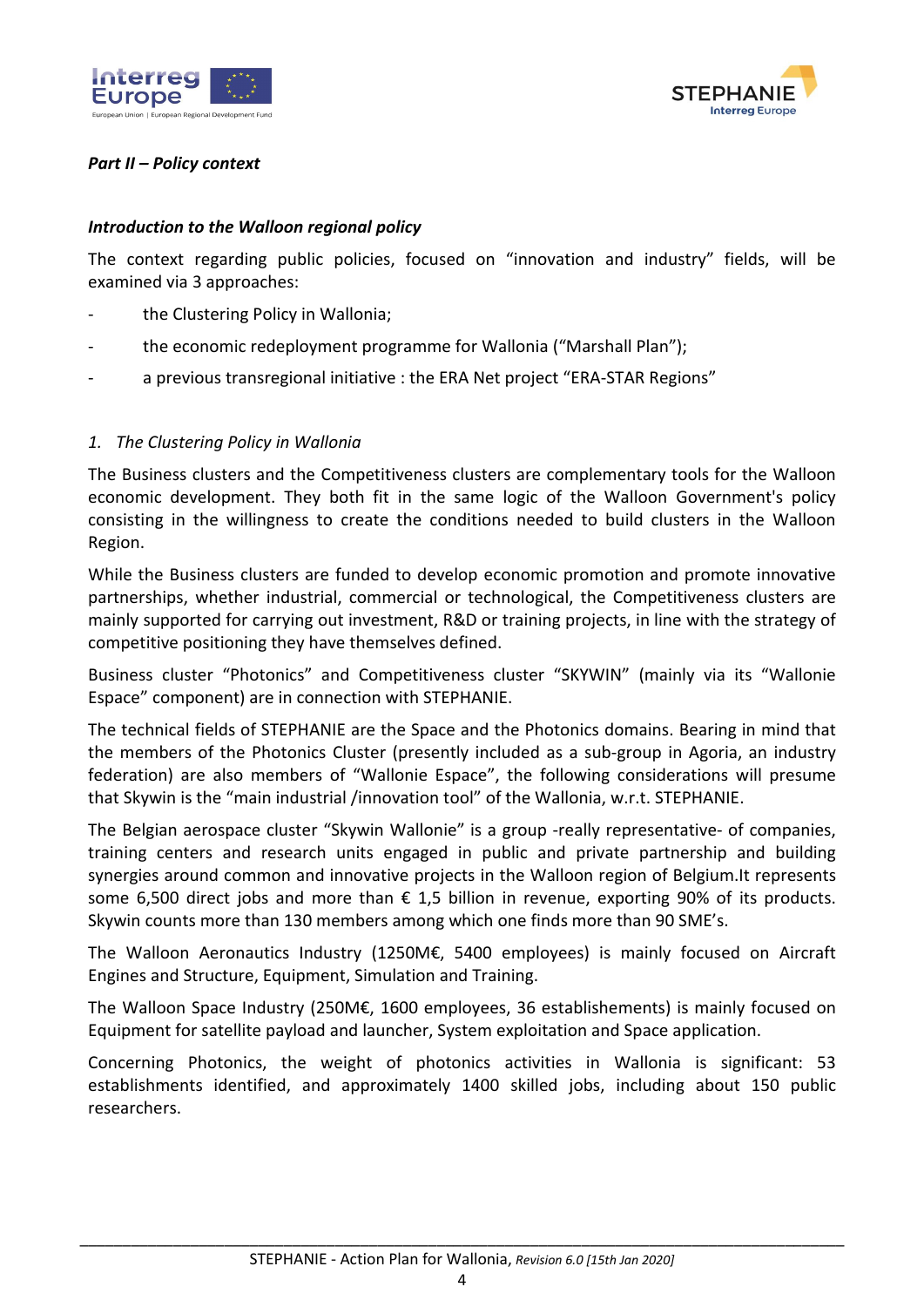



#### *Part II – Policy context*

#### *Introduction to the Walloon regional policy*

The context regarding public policies, focused on "innovation and industry" fields, will be examined via 3 approaches:

- the Clustering Policy in Wallonia;
- the economic redeployment programme for Wallonia ("Marshall Plan");
- a previous transregional initiative : the ERA Net project "ERA-STAR Regions"

#### *1. The Clustering Policy in Wallonia*

The Business clusters and the Competitiveness clusters are complementary tools for the Walloon economic development. They both fit in the same logic of the Walloon Government's policy consisting in the willingness to create the conditions needed to build clusters in the Walloon Region.

While the Business clusters are funded to develop economic promotion and promote innovative partnerships, whether industrial, commercial or technological, the Competitiveness clusters are mainly supported for carrying out investment, R&D or training projects, in line with the strategy of competitive positioning they have themselves defined.

Business cluster "Photonics" and Competitiveness cluster "SKYWIN" (mainly via its "Wallonie Espace" component) are in connection with STEPHANIE.

The technical fields of STEPHANIE are the Space and the Photonics domains. Bearing in mind that the members of the Photonics Cluster (presently included as a sub-group in Agoria, an industry federation) are also members of "Wallonie Espace", the following considerations will presume that Skywin is the "main industrial /innovation tool" of the Wallonia, w.r.t. STEPHANIE.

The Belgian aerospace cluster "Skywin Wallonie" is a group -really representative- of companies, training centers and research units engaged in public and private partnership and building synergies around common and innovative projects in the Walloon region of Belgium.It represents some 6,500 direct jobs and more than  $\epsilon$  1,5 billion in revenue, exporting 90% of its products. Skywin counts more than 130 members among which one finds more than 90 SME's.

The Walloon Aeronautics Industry (1250M€, 5400 employees) is mainly focused on Aircraft Engines and Structure, Equipment, Simulation and Training.

The Walloon Space Industry (250M€, 1600 employees, 36 establishements) is mainly focused on Equipment for satellite payload and launcher, System exploitation and Space application.

Concerning Photonics, the weight of photonics activities in Wallonia is significant: 53 establishments identified, and approximately 1400 skilled jobs, including about 150 public researchers.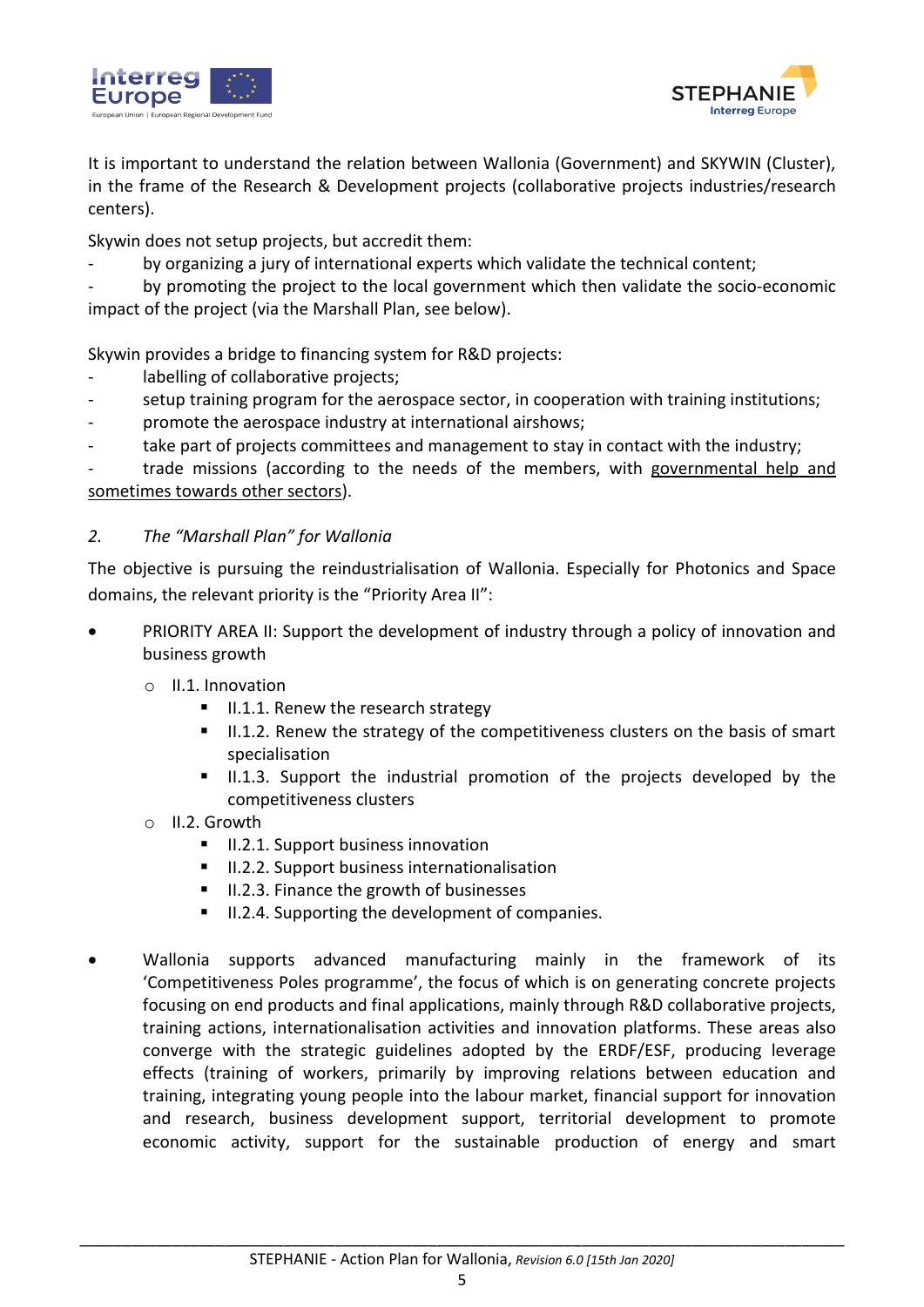



It is important to understand the relation between Wallonia (Government) and SKYWIN (Cluster), in the frame of the Research & Development projects (collaborative projects industries/research centers).

Skywin does not setup projects, but accredit them:

by organizing a jury of international experts which validate the technical content;

by promoting the project to the local government which then validate the socio-economic impact of the project (via the Marshall Plan, see below).

Skywin provides a bridge to financing system for R&D projects:

- labelling of collaborative projects;
- setup training program for the aerospace sector, in cooperation with training institutions;
- promote the aerospace industry at international airshows;
- take part of projects committees and management to stay in contact with the industry;

trade missions (according to the needs of the members, with governmental help and sometimes towards other sectors).

#### *2. The "Marshall Plan" for Wallonia*

The objective is pursuing the reindustrialisation of Wallonia. Especially for Photonics and Space domains, the relevant priority is the "Priority Area II":

- PRIORITY AREA II: Support the development of industry through a policy of innovation and business growth
	- o II.1. Innovation
		- $II.1.1.$  Renew the research strategy
		- II.1.2. Renew the strategy of the competitiveness clusters on the basis of smart specialisation
		- II.1.3. Support the industrial promotion of the projects developed by the competitiveness clusters
	- o II.2. Growth
		- **II.2.1. Support business innovation**
		- **II.2.2. Support business internationalisation**
		- II.2.3. Finance the growth of businesses
		- II.2.4. Supporting the development of companies.
- Wallonia supports advanced manufacturing mainly in the framework of its 'Competitiveness Poles programme', the focus of which is on generating concrete projects focusing on end products and final applications, mainly through R&D collaborative projects, training actions, internationalisation activities and innovation platforms. These areas also converge with the strategic guidelines adopted by the ERDF/ESF, producing leverage effects (training of workers, primarily by improving relations between education and training, integrating young people into the labour market, financial support for innovation and research, business development support, territorial development to promote economic activity, support for the sustainable production of energy and smart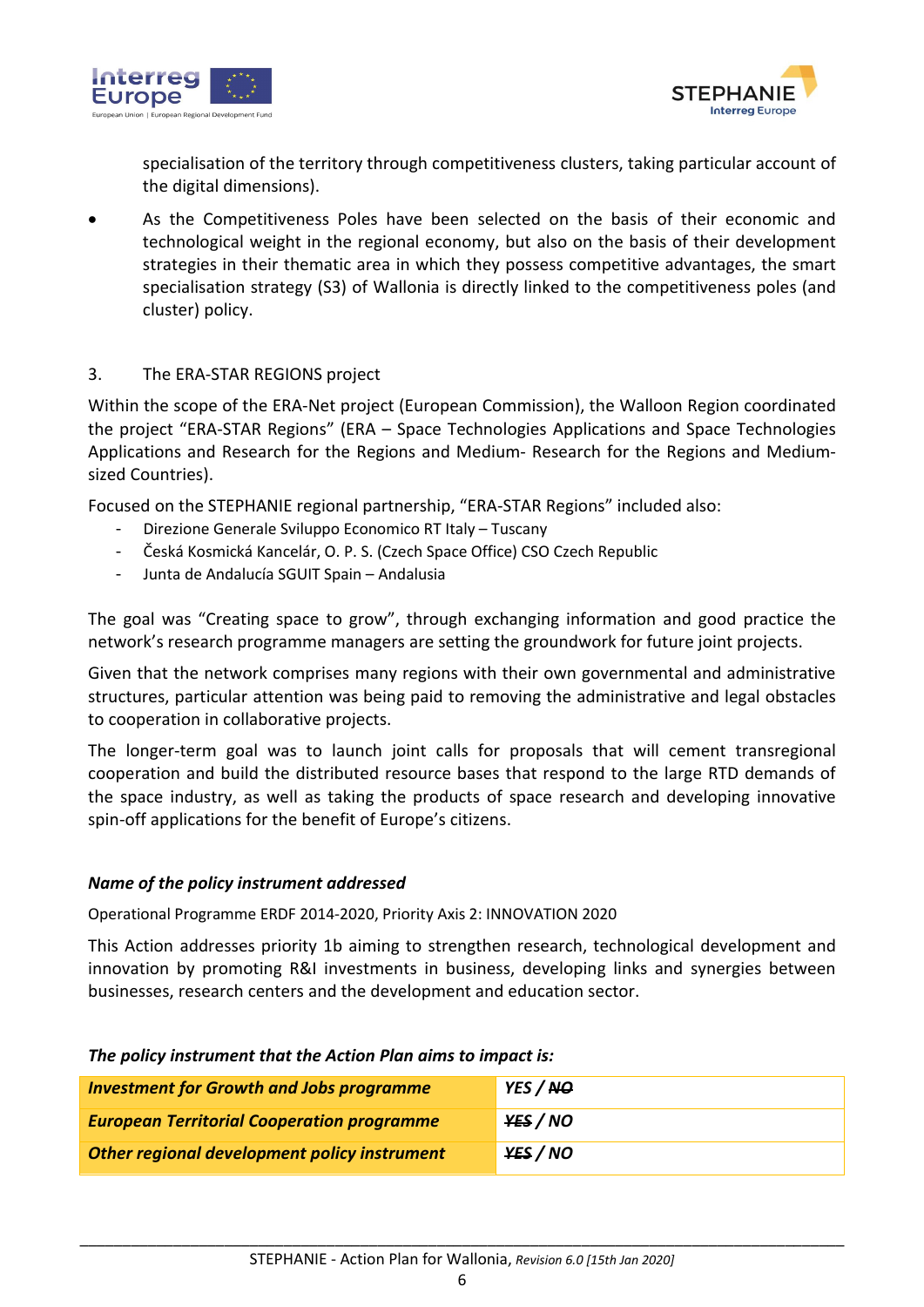



specialisation of the territory through competitiveness clusters, taking particular account of the digital dimensions).

 As the Competitiveness Poles have been selected on the basis of their economic and technological weight in the regional economy, but also on the basis of their development strategies in their thematic area in which they possess competitive advantages, the smart specialisation strategy (S3) of Wallonia is directly linked to the competitiveness poles (and cluster) policy.

#### 3. The ERA-STAR REGIONS project

Within the scope of the ERA-Net project (European Commission), the Walloon Region coordinated the project "ERA-STAR Regions" (ERA – Space Technologies Applications and Space Technologies Applications and Research for the Regions and Medium- Research for the Regions and Mediumsized Countries).

Focused on the STEPHANIE regional partnership, "ERA-STAR Regions" included also:

- Direzione Generale Sviluppo Economico RT Italy Tuscany
- Česká Kosmická Kancelár, O. P. S. (Czech Space Office) CSO Czech Republic
- Junta de Andalucía SGUIT Spain Andalusia

The goal was "Creating space to grow", through exchanging information and good practice the network's research programme managers are setting the groundwork for future joint projects.

Given that the network comprises many regions with their own governmental and administrative structures, particular attention was being paid to removing the administrative and legal obstacles to cooperation in collaborative projects.

The longer-term goal was to launch joint calls for proposals that will cement transregional cooperation and build the distributed resource bases that respond to the large RTD demands of the space industry, as well as taking the products of space research and developing innovative spin-off applications for the benefit of Europe's citizens.

#### *Name of the policy instrument addressed*

Operational Programme ERDF 2014-2020, Priority Axis 2: INNOVATION 2020

This Action addresses priority 1b aiming to strengthen research, technological development and innovation by promoting R&I investments in business, developing links and synergies between businesses, research centers and the development and education sector.

#### *The policy instrument that the Action Plan aims to impact is:*

| <b>Investment for Growth and Jobs programme</b>   | YES / NO |
|---------------------------------------------------|----------|
| <b>European Territorial Cooperation programme</b> | YES / NO |
| Other regional development policy instrument      | YES / NO |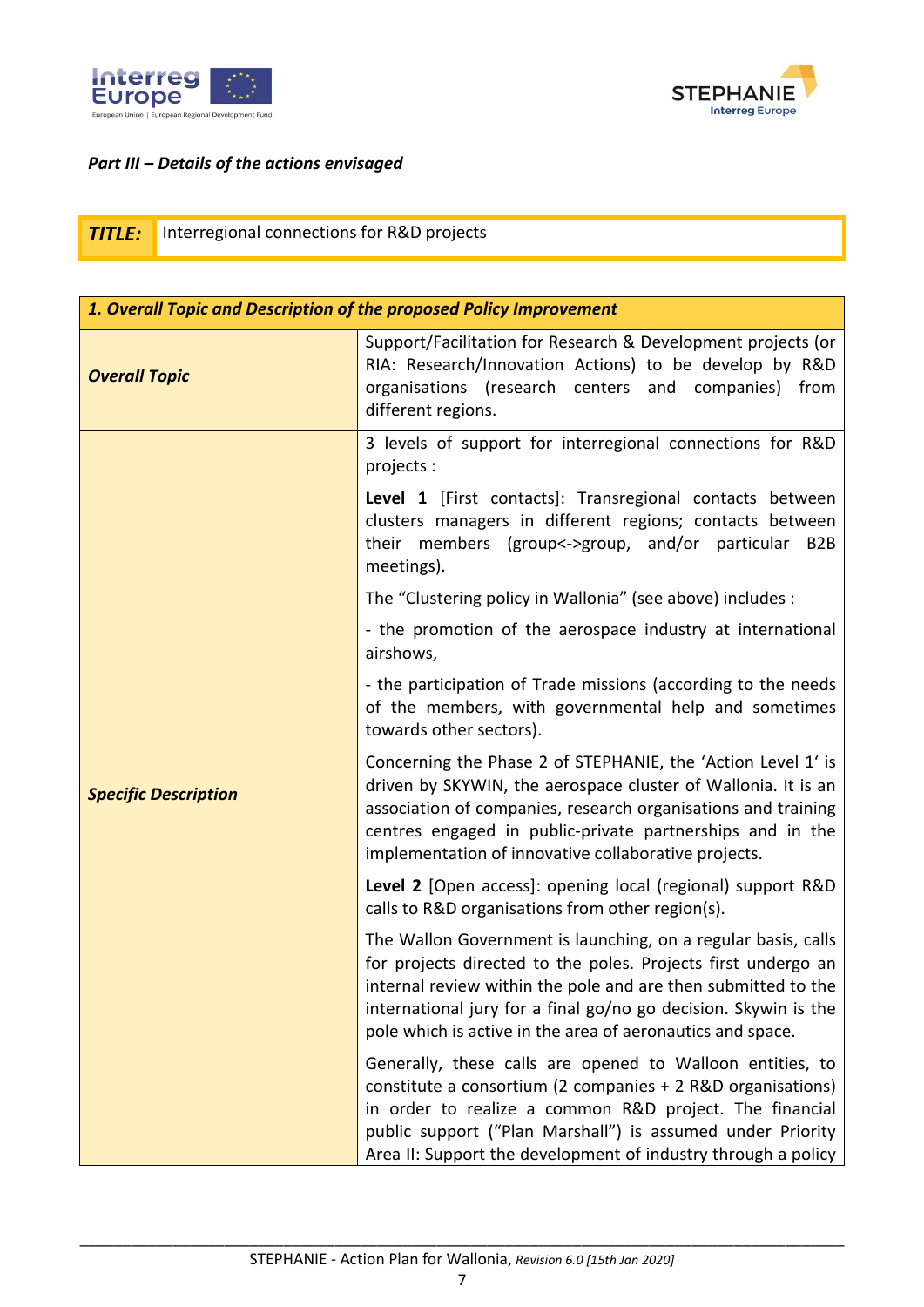



#### *Part III – Details of the actions envisaged*

|  |  | ۰ |
|--|--|---|
|  |  |   |

**Interregional connections for R&D projects** 

| 1. Overall Topic and Description of the proposed Policy Improvement |                                                                                                                                                                                                                                                                                                                                  |  |
|---------------------------------------------------------------------|----------------------------------------------------------------------------------------------------------------------------------------------------------------------------------------------------------------------------------------------------------------------------------------------------------------------------------|--|
| <b>Overall Topic</b>                                                | Support/Facilitation for Research & Development projects (or<br>RIA: Research/Innovation Actions) to be develop by R&D<br>organisations (research centers and companies) from<br>different regions.                                                                                                                              |  |
|                                                                     | 3 levels of support for interregional connections for R&D<br>projects:                                                                                                                                                                                                                                                           |  |
|                                                                     | Level 1 [First contacts]: Transregional contacts between<br>clusters managers in different regions; contacts between<br>their members (group<->group, and/or particular B2B<br>meetings).                                                                                                                                        |  |
|                                                                     | The "Clustering policy in Wallonia" (see above) includes :                                                                                                                                                                                                                                                                       |  |
|                                                                     | - the promotion of the aerospace industry at international<br>airshows,                                                                                                                                                                                                                                                          |  |
|                                                                     | - the participation of Trade missions (according to the needs<br>of the members, with governmental help and sometimes<br>towards other sectors).                                                                                                                                                                                 |  |
| <b>Specific Description</b>                                         | Concerning the Phase 2 of STEPHANIE, the 'Action Level 1' is<br>driven by SKYWIN, the aerospace cluster of Wallonia. It is an<br>association of companies, research organisations and training<br>centres engaged in public-private partnerships and in the<br>implementation of innovative collaborative projects.              |  |
|                                                                     | Level 2 [Open access]: opening local (regional) support R&D<br>calls to R&D organisations from other region(s).                                                                                                                                                                                                                  |  |
|                                                                     | The Wallon Government is launching, on a regular basis, calls<br>for projects directed to the poles. Projects first undergo an<br>internal review within the pole and are then submitted to the<br>international jury for a final go/no go decision. Skywin is the<br>pole which is active in the area of aeronautics and space. |  |
|                                                                     | Generally, these calls are opened to Walloon entities, to<br>constitute a consortium (2 companies + 2 R&D organisations)<br>in order to realize a common R&D project. The financial<br>public support ("Plan Marshall") is assumed under Priority<br>Area II: Support the development of industry through a policy               |  |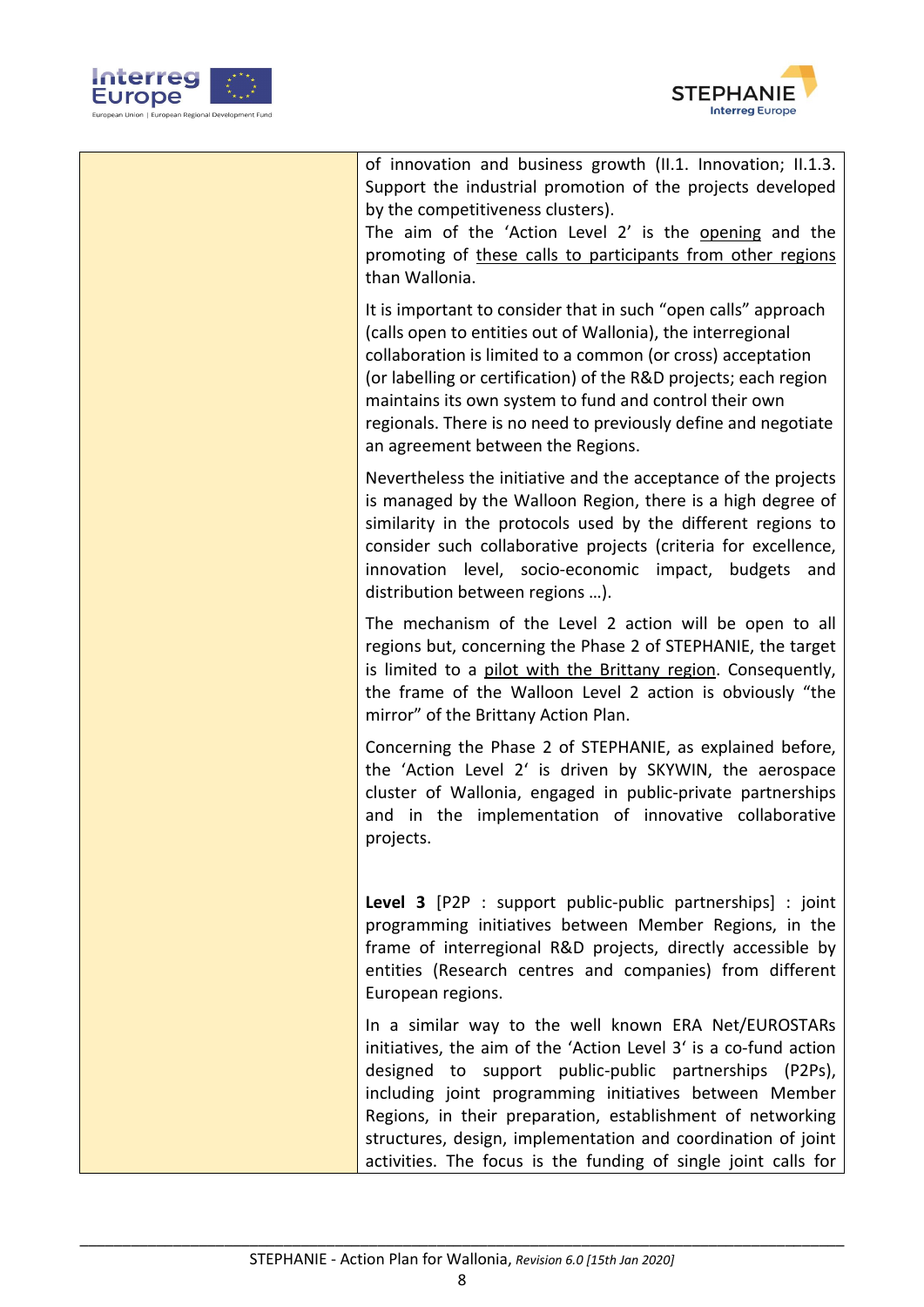



| of innovation and business growth (II.1. Innovation; II.1.3.<br>Support the industrial promotion of the projects developed<br>by the competitiveness clusters).<br>The aim of the 'Action Level 2' is the opening and the<br>promoting of these calls to participants from other regions<br>than Wallonia.                                                                                                                                   |
|----------------------------------------------------------------------------------------------------------------------------------------------------------------------------------------------------------------------------------------------------------------------------------------------------------------------------------------------------------------------------------------------------------------------------------------------|
| It is important to consider that in such "open calls" approach<br>(calls open to entities out of Wallonia), the interregional<br>collaboration is limited to a common (or cross) acceptation<br>(or labelling or certification) of the R&D projects; each region<br>maintains its own system to fund and control their own<br>regionals. There is no need to previously define and negotiate<br>an agreement between the Regions.            |
| Nevertheless the initiative and the acceptance of the projects<br>is managed by the Walloon Region, there is a high degree of<br>similarity in the protocols used by the different regions to<br>consider such collaborative projects (criteria for excellence,<br>innovation level, socio-economic impact, budgets and<br>distribution between regions ).                                                                                   |
| The mechanism of the Level 2 action will be open to all<br>regions but, concerning the Phase 2 of STEPHANIE, the target<br>is limited to a pilot with the Brittany region. Consequently,<br>the frame of the Walloon Level 2 action is obviously "the<br>mirror" of the Brittany Action Plan.                                                                                                                                                |
| Concerning the Phase 2 of STEPHANIE, as explained before,<br>the 'Action Level 2' is driven by SKYWIN, the aerospace<br>cluster of Wallonia, engaged in public-private partnerships<br>and in the implementation of innovative collaborative<br>projects.                                                                                                                                                                                    |
| Level 3 [P2P : support public-public partnerships] : joint<br>programming initiatives between Member Regions, in the<br>frame of interregional R&D projects, directly accessible by<br>entities (Research centres and companies) from different<br>European regions.                                                                                                                                                                         |
| In a similar way to the well known ERA Net/EUROSTARs<br>initiatives, the aim of the 'Action Level 3' is a co-fund action<br>designed to support public-public partnerships (P2Ps),<br>including joint programming initiatives between Member<br>Regions, in their preparation, establishment of networking<br>structures, design, implementation and coordination of joint<br>activities. The focus is the funding of single joint calls for |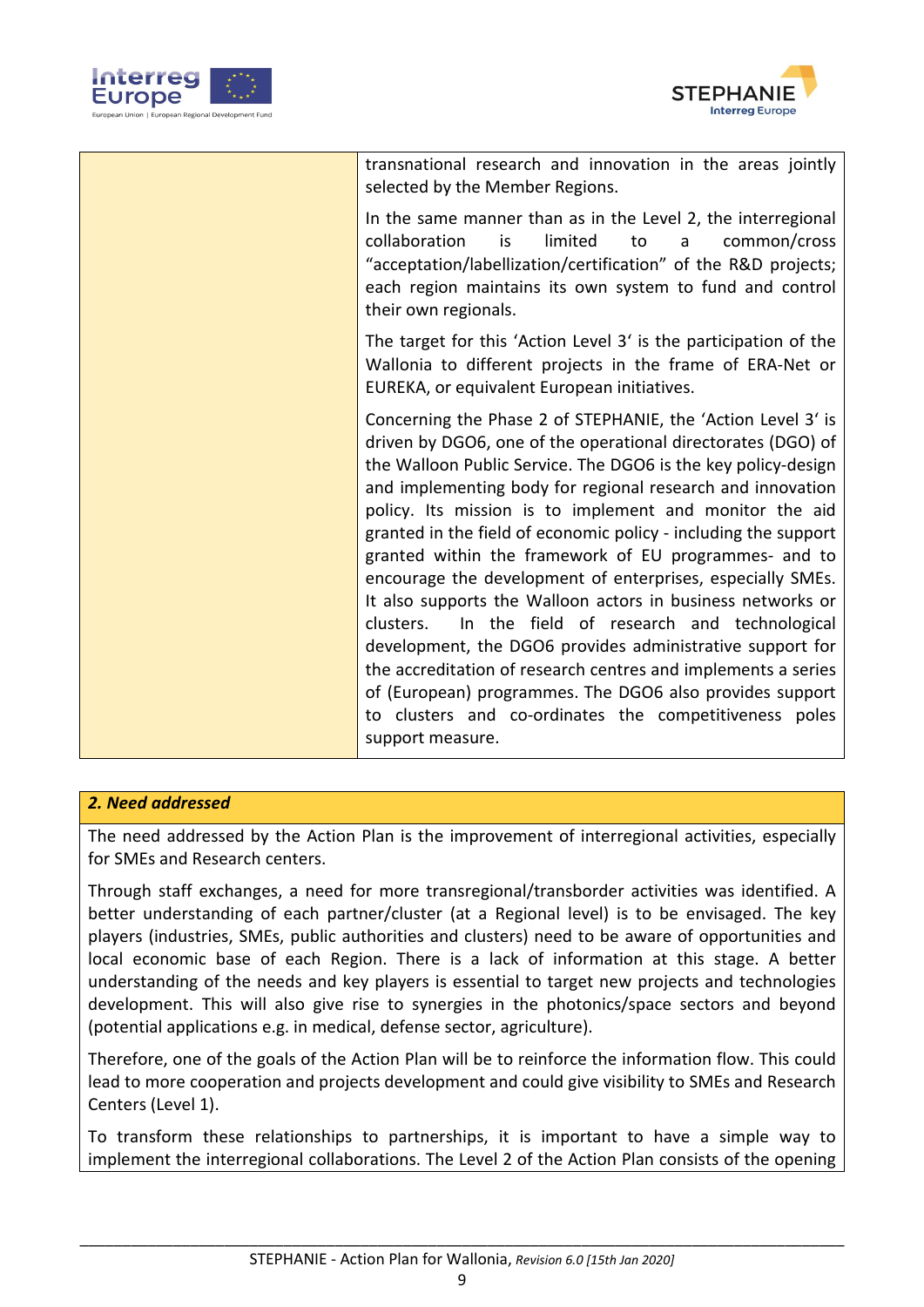



| transnational research and innovation in the areas jointly<br>selected by the Member Regions.                                                                                                                                                                                                                                                                                                                                                                                                                                                                                                                                                                                                                                                                                                                                                                                                  |
|------------------------------------------------------------------------------------------------------------------------------------------------------------------------------------------------------------------------------------------------------------------------------------------------------------------------------------------------------------------------------------------------------------------------------------------------------------------------------------------------------------------------------------------------------------------------------------------------------------------------------------------------------------------------------------------------------------------------------------------------------------------------------------------------------------------------------------------------------------------------------------------------|
| In the same manner than as in the Level 2, the interregional<br>is<br>limited<br>to<br>collaboration<br>a<br>common/cross<br>"acceptation/labellization/certification" of the R&D projects;<br>each region maintains its own system to fund and control<br>their own regionals.                                                                                                                                                                                                                                                                                                                                                                                                                                                                                                                                                                                                                |
| The target for this 'Action Level 3' is the participation of the<br>Wallonia to different projects in the frame of ERA-Net or<br>EUREKA, or equivalent European initiatives.                                                                                                                                                                                                                                                                                                                                                                                                                                                                                                                                                                                                                                                                                                                   |
| Concerning the Phase 2 of STEPHANIE, the 'Action Level 3' is<br>driven by DGO6, one of the operational directorates (DGO) of<br>the Walloon Public Service. The DGO6 is the key policy-design<br>and implementing body for regional research and innovation<br>policy. Its mission is to implement and monitor the aid<br>granted in the field of economic policy - including the support<br>granted within the framework of EU programmes- and to<br>encourage the development of enterprises, especially SMEs.<br>It also supports the Walloon actors in business networks or<br>clusters.<br>In the field of research and technological<br>development, the DGO6 provides administrative support for<br>the accreditation of research centres and implements a series<br>of (European) programmes. The DGO6 also provides support<br>to clusters and co-ordinates the competitiveness poles |
| support measure.                                                                                                                                                                                                                                                                                                                                                                                                                                                                                                                                                                                                                                                                                                                                                                                                                                                                               |

#### *2. Need addressed*

The need addressed by the Action Plan is the improvement of interregional activities, especially for SMEs and Research centers.

Through staff exchanges, a need for more transregional/transborder activities was identified. A better understanding of each partner/cluster (at a Regional level) is to be envisaged. The key players (industries, SMEs, public authorities and clusters) need to be aware of opportunities and local economic base of each Region. There is a lack of information at this stage. A better understanding of the needs and key players is essential to target new projects and technologies development. This will also give rise to synergies in the photonics/space sectors and beyond (potential applications e.g. in medical, defense sector, agriculture).

Therefore, one of the goals of the Action Plan will be to reinforce the information flow. This could lead to more cooperation and projects development and could give visibility to SMEs and Research Centers (Level 1).

To transform these relationships to partnerships, it is important to have a simple way to implement the interregional collaborations. The Level 2 of the Action Plan consists of the opening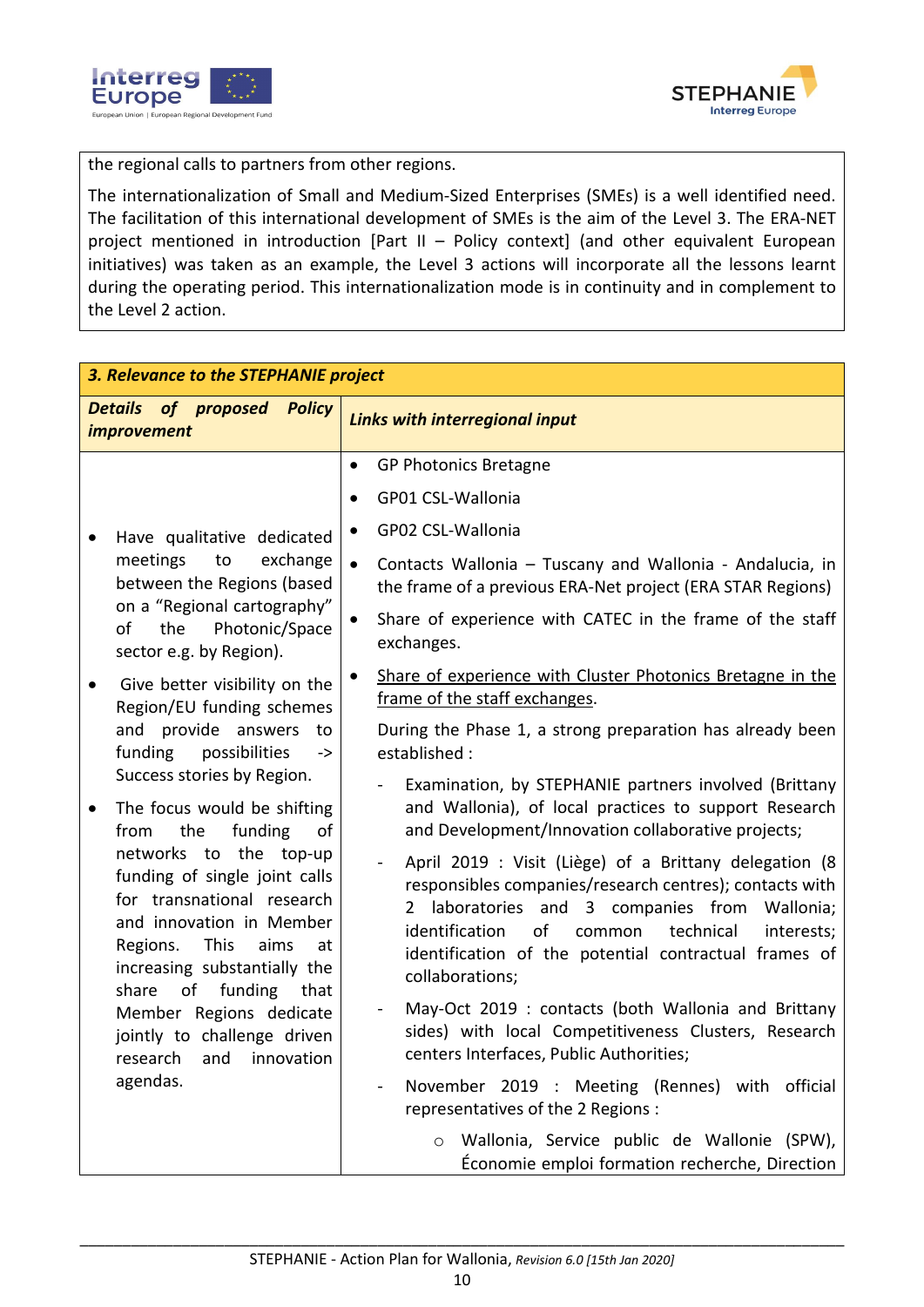



the regional calls to partners from other regions.

The internationalization of Small and Medium-Sized Enterprises (SMEs) is a well identified need. The facilitation of this international development of SMEs is the aim of the Level 3. The ERA-NET project mentioned in introduction [Part II – Policy context] (and other equivalent European initiatives) was taken as an example, the Level 3 actions will incorporate all the lessons learnt during the operating period. This internationalization mode is in continuity and in complement to the Level 2 action.

| 3. Relevance to the STEPHANIE project                                                                                                                                                                                                                                                                                                                                                                                                                                                                                                                                                                                                                                                       |                                                                                                                                                                                                                                                                                                                                                                                                                                                                                                                                                                                                                                                                                                                                                                                                                                                                                                                                                                                                                                                                                                                                                          |  |
|---------------------------------------------------------------------------------------------------------------------------------------------------------------------------------------------------------------------------------------------------------------------------------------------------------------------------------------------------------------------------------------------------------------------------------------------------------------------------------------------------------------------------------------------------------------------------------------------------------------------------------------------------------------------------------------------|----------------------------------------------------------------------------------------------------------------------------------------------------------------------------------------------------------------------------------------------------------------------------------------------------------------------------------------------------------------------------------------------------------------------------------------------------------------------------------------------------------------------------------------------------------------------------------------------------------------------------------------------------------------------------------------------------------------------------------------------------------------------------------------------------------------------------------------------------------------------------------------------------------------------------------------------------------------------------------------------------------------------------------------------------------------------------------------------------------------------------------------------------------|--|
| <b>Details of proposed</b><br><b>Policy</b><br>improvement                                                                                                                                                                                                                                                                                                                                                                                                                                                                                                                                                                                                                                  | <b>Links with interregional input</b>                                                                                                                                                                                                                                                                                                                                                                                                                                                                                                                                                                                                                                                                                                                                                                                                                                                                                                                                                                                                                                                                                                                    |  |
| Have qualitative dedicated<br>meetings<br>to<br>exchange<br>between the Regions (based<br>on a "Regional cartography"<br>the<br>Photonic/Space<br>of<br>sector e.g. by Region).<br>Give better visibility on the<br>Region/EU funding schemes<br>and provide answers<br>to<br>funding<br>possibilities<br>-><br>Success stories by Region.<br>The focus would be shifting<br>٠<br>funding<br>the<br>from<br>of<br>networks to the top-up<br>funding of single joint calls<br>for transnational research<br>and innovation in Member<br>Regions.<br>This<br>aims<br>at<br>increasing substantially the<br>of funding that<br>share<br>Member Regions dedicate<br>jointly to challenge driven | <b>GP Photonics Bretagne</b><br>$\bullet$<br>GP01 CSL-Wallonia<br>$\bullet$<br>GP02 CSL-Wallonia<br>Contacts Wallonia - Tuscany and Wallonia - Andalucia, in<br>$\bullet$<br>the frame of a previous ERA-Net project (ERA STAR Regions)<br>Share of experience with CATEC in the frame of the staff<br>$\bullet$<br>exchanges.<br>Share of experience with Cluster Photonics Bretagne in the<br>frame of the staff exchanges.<br>During the Phase 1, a strong preparation has already been<br>established:<br>Examination, by STEPHANIE partners involved (Brittany<br>and Wallonia), of local practices to support Research<br>and Development/Innovation collaborative projects;<br>April 2019 : Visit (Liège) of a Brittany delegation (8<br>responsibles companies/research centres); contacts with<br>laboratories and 3 companies from Wallonia;<br>identification<br>of<br>technical<br>common<br>interests;<br>identification of the potential contractual frames of<br>collaborations;<br>May-Oct 2019: contacts (both Wallonia and Brittany<br>sides) with local Competitiveness Clusters, Research<br>centers Interfaces, Public Authorities; |  |
| research and innovation<br>agendas.                                                                                                                                                                                                                                                                                                                                                                                                                                                                                                                                                                                                                                                         | November 2019 : Meeting (Rennes) with official<br>representatives of the 2 Regions :<br>Wallonia, Service public de Wallonie (SPW),<br>$\circ$<br>Économie emploi formation recherche, Direction                                                                                                                                                                                                                                                                                                                                                                                                                                                                                                                                                                                                                                                                                                                                                                                                                                                                                                                                                         |  |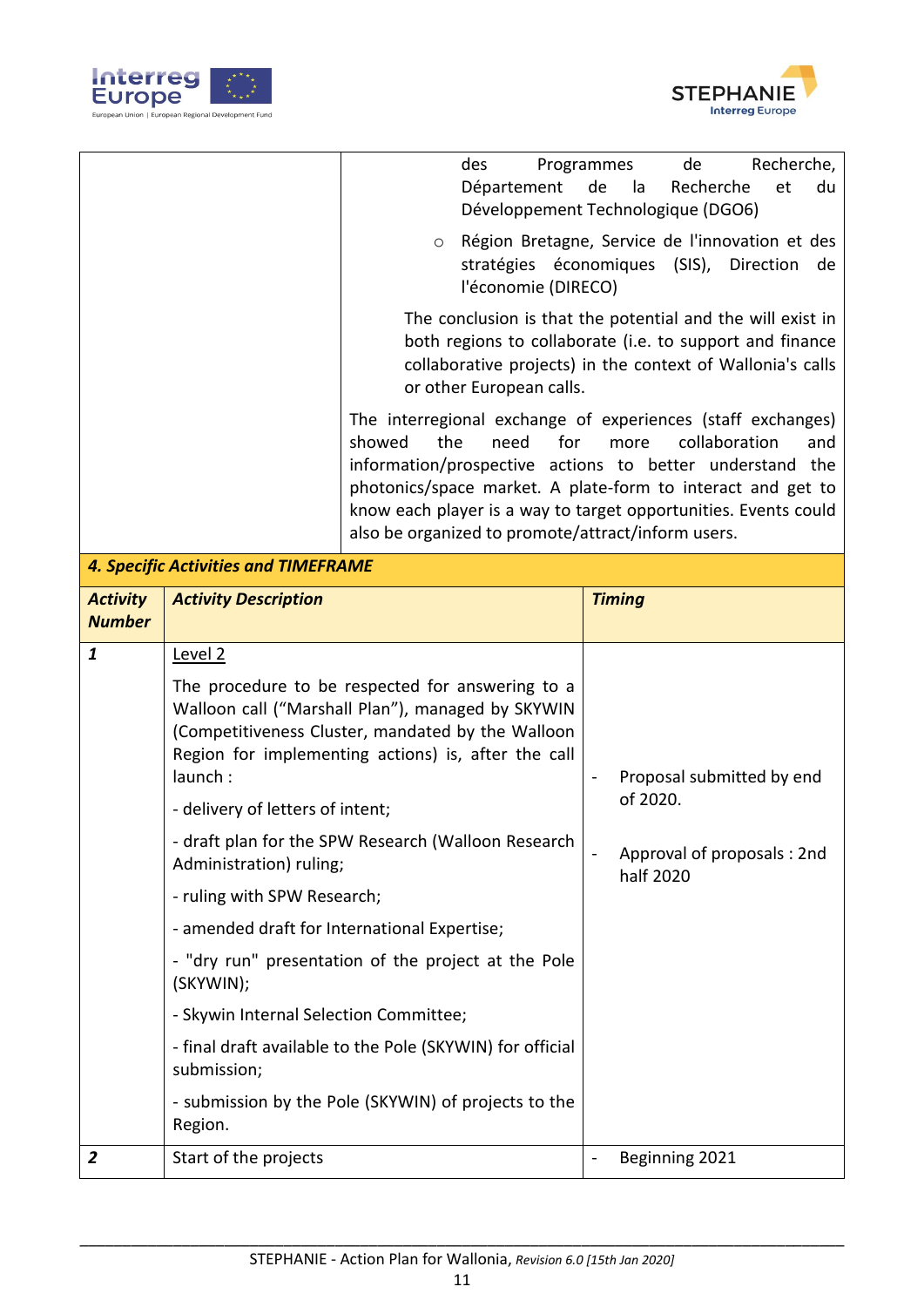



|                                  |                                                                                                                                                                                                                   | des<br>Département                                                                                                                                                                                                                                                                                                                                                              | Programmes<br>Recherche,<br>de<br>Recherche<br>de<br>et<br>du<br>la<br>Développement Technologique (DGO6) |
|----------------------------------|-------------------------------------------------------------------------------------------------------------------------------------------------------------------------------------------------------------------|---------------------------------------------------------------------------------------------------------------------------------------------------------------------------------------------------------------------------------------------------------------------------------------------------------------------------------------------------------------------------------|-----------------------------------------------------------------------------------------------------------|
|                                  |                                                                                                                                                                                                                   | O<br>l'économie (DIRECO)                                                                                                                                                                                                                                                                                                                                                        | Région Bretagne, Service de l'innovation et des<br>stratégies économiques (SIS),<br>Direction<br>de       |
|                                  |                                                                                                                                                                                                                   | The conclusion is that the potential and the will exist in<br>both regions to collaborate (i.e. to support and finance<br>collaborative projects) in the context of Wallonia's calls<br>or other European calls.                                                                                                                                                                |                                                                                                           |
|                                  |                                                                                                                                                                                                                   | The interregional exchange of experiences (staff exchanges)<br>showed<br>the<br>for<br>collaboration<br>need<br>and<br>more<br>information/prospective actions to better understand the<br>photonics/space market. A plate-form to interact and get to<br>know each player is a way to target opportunities. Events could<br>also be organized to promote/attract/inform users. |                                                                                                           |
|                                  | <b>4. Specific Activities and TIMEFRAME</b>                                                                                                                                                                       |                                                                                                                                                                                                                                                                                                                                                                                 |                                                                                                           |
| <b>Activity</b><br><b>Number</b> | <b>Activity Description</b>                                                                                                                                                                                       |                                                                                                                                                                                                                                                                                                                                                                                 | <b>Timing</b>                                                                                             |
| $\mathbf{1}$                     | Level 2                                                                                                                                                                                                           |                                                                                                                                                                                                                                                                                                                                                                                 |                                                                                                           |
|                                  | The procedure to be respected for answering to a<br>Walloon call ("Marshall Plan"), managed by SKYWIN<br>(Competitiveness Cluster, mandated by the Walloon<br>Region for implementing actions) is, after the call |                                                                                                                                                                                                                                                                                                                                                                                 |                                                                                                           |
|                                  | launch:                                                                                                                                                                                                           |                                                                                                                                                                                                                                                                                                                                                                                 | Proposal submitted by end                                                                                 |
|                                  | - delivery of letters of intent;                                                                                                                                                                                  |                                                                                                                                                                                                                                                                                                                                                                                 | of 2020.                                                                                                  |
|                                  | Administration) ruling;                                                                                                                                                                                           | - draft plan for the SPW Research (Walloon Research                                                                                                                                                                                                                                                                                                                             | Approval of proposals: 2nd                                                                                |
|                                  | - ruling with SPW Research;                                                                                                                                                                                       |                                                                                                                                                                                                                                                                                                                                                                                 | half 2020                                                                                                 |
|                                  | - amended draft for International Expertise;                                                                                                                                                                      |                                                                                                                                                                                                                                                                                                                                                                                 |                                                                                                           |
|                                  | (SKYWIN);                                                                                                                                                                                                         | - "dry run" presentation of the project at the Pole                                                                                                                                                                                                                                                                                                                             |                                                                                                           |
|                                  | - Skywin Internal Selection Committee;                                                                                                                                                                            |                                                                                                                                                                                                                                                                                                                                                                                 |                                                                                                           |
|                                  | submission;                                                                                                                                                                                                       | - final draft available to the Pole (SKYWIN) for official                                                                                                                                                                                                                                                                                                                       |                                                                                                           |
|                                  | Region.                                                                                                                                                                                                           | - submission by the Pole (SKYWIN) of projects to the                                                                                                                                                                                                                                                                                                                            |                                                                                                           |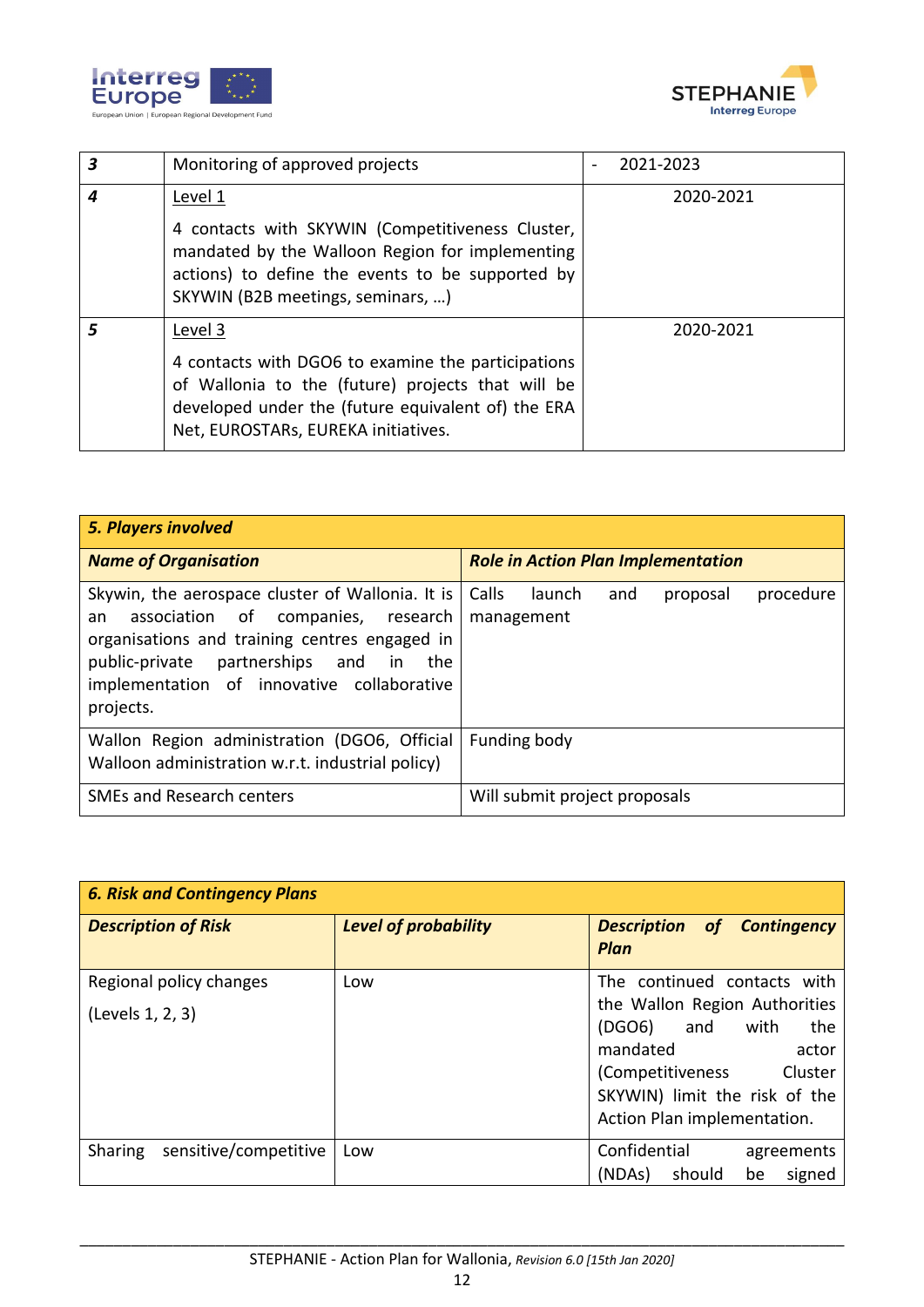



| 3 | Monitoring of approved projects                                                                                                                                                                                 | 2021-2023 |
|---|-----------------------------------------------------------------------------------------------------------------------------------------------------------------------------------------------------------------|-----------|
| 4 | Level 1<br>4 contacts with SKYWIN (Competitiveness Cluster,<br>mandated by the Walloon Region for implementing<br>actions) to define the events to be supported by<br>SKYWIN (B2B meetings, seminars, )         | 2020-2021 |
|   | Level 3<br>4 contacts with DGO6 to examine the participations<br>of Wallonia to the (future) projects that will be<br>developed under the (future equivalent of) the ERA<br>Net, EUROSTARs, EUREKA initiatives. | 2020-2021 |

| <b>5. Players involved</b>                                                                                                                                                                                                                            |                                                               |
|-------------------------------------------------------------------------------------------------------------------------------------------------------------------------------------------------------------------------------------------------------|---------------------------------------------------------------|
| <b>Name of Organisation</b>                                                                                                                                                                                                                           | <b>Role in Action Plan Implementation</b>                     |
| Skywin, the aerospace cluster of Wallonia. It is<br>association of companies, research<br>an<br>organisations and training centres engaged in<br>public-private partnerships and in<br>the<br>implementation of innovative collaborative<br>projects. | Calls<br>launch<br>procedure<br>and<br>proposal<br>management |
| Wallon Region administration (DGO6, Official<br>Walloon administration w.r.t. industrial policy)                                                                                                                                                      | Funding body                                                  |
| <b>SMEs and Research centers</b>                                                                                                                                                                                                                      | Will submit project proposals                                 |

| <b>6. Risk and Contingency Plans</b>               |                             |                                                                                                                                                                                                               |  |  |
|----------------------------------------------------|-----------------------------|---------------------------------------------------------------------------------------------------------------------------------------------------------------------------------------------------------------|--|--|
| <b>Description of Risk</b>                         | <b>Level of probability</b> | <b>Description of Contingency</b><br>Plan                                                                                                                                                                     |  |  |
| Regional policy changes<br>Low<br>(Levels 1, 2, 3) |                             | The continued contacts with<br>the Wallon Region Authorities<br>(DGO6)<br>and<br>with<br>the<br>mandated<br>actor<br>(Competitiveness Cluster<br>SKYWIN) limit the risk of the<br>Action Plan implementation. |  |  |
| sensitive/competitive<br>Sharing                   | Low                         | Confidential<br>agreements<br>(NDAs)<br>signed<br>should<br>be                                                                                                                                                |  |  |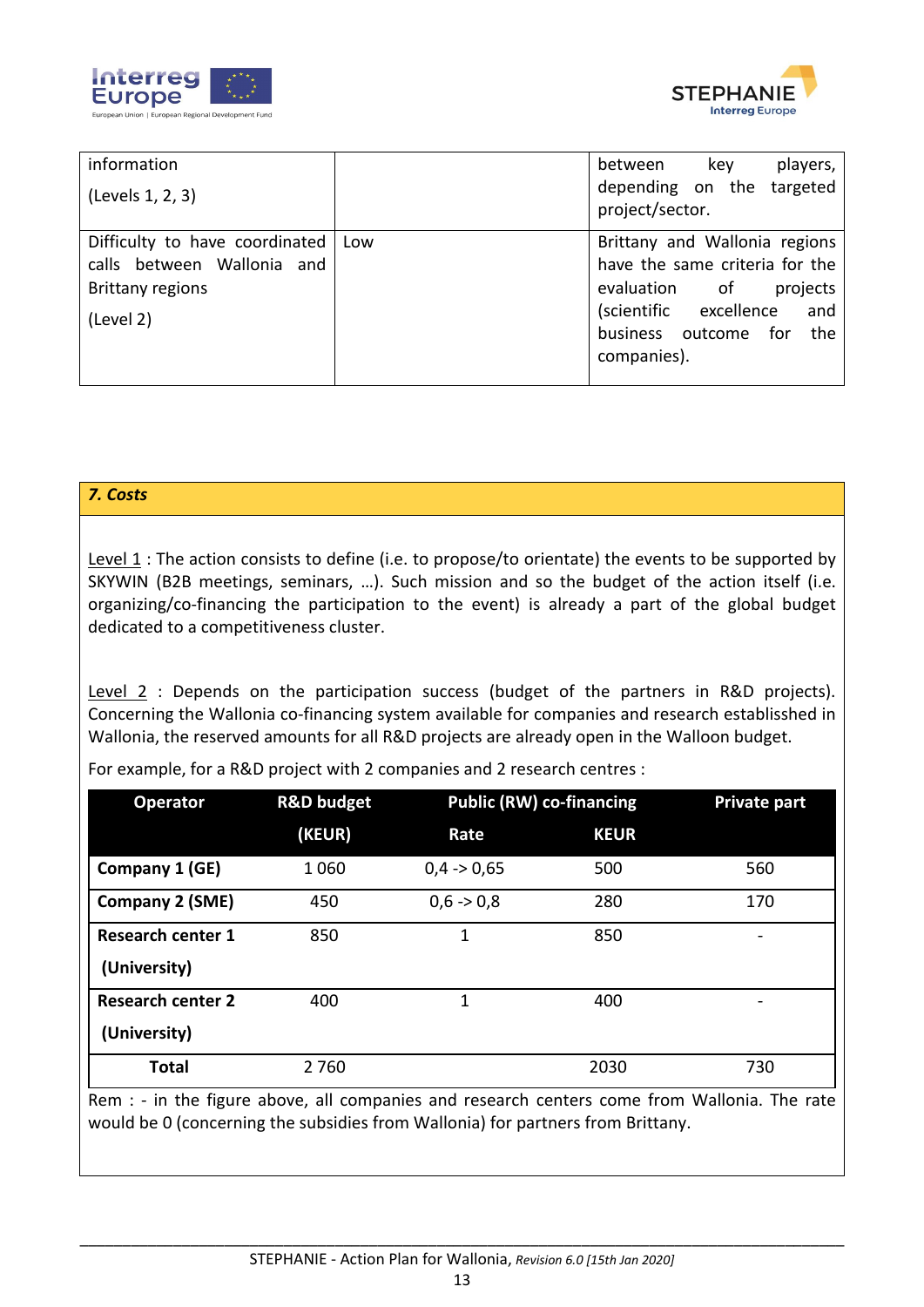



| information                          | players,<br>between<br>key                   |  |  |
|--------------------------------------|----------------------------------------------|--|--|
| (Levels 1, 2, 3)                     | depending on the targeted<br>project/sector. |  |  |
| Difficulty to have coordinated   Low | Brittany and Wallonia regions                |  |  |
| calls between Wallonia and           | have the same criteria for the               |  |  |
| <b>Brittany regions</b>              | evaluation<br>projects<br>of                 |  |  |
| (Level 2)                            | (scientific excellence<br>and                |  |  |
|                                      | business outcome<br>for<br>the               |  |  |
|                                      | companies).                                  |  |  |
|                                      |                                              |  |  |

#### *7. Costs*

Level 1 : The action consists to define (i.e. to propose/to orientate) the events to be supported by SKYWIN (B2B meetings, seminars, …). Such mission and so the budget of the action itself (i.e. organizing/co-financing the participation to the event) is already a part of the global budget dedicated to a competitiveness cluster.

Level 2 : Depends on the participation success (budget of the partners in R&D projects). Concerning the Wallonia co-financing system available for companies and research establisshed in Wallonia, the reserved amounts for all R&D projects are already open in the Walloon budget.

For example, for a R&D project with 2 companies and 2 research centres :

| <b>Operator</b>                                                                              | <b>R&amp;D budget</b> | <b>Public (RW) co-financing</b> |             | <b>Private part</b> |
|----------------------------------------------------------------------------------------------|-----------------------|---------------------------------|-------------|---------------------|
|                                                                                              | (KEUR)                | Rate                            | <b>KEUR</b> |                     |
| Company 1 (GE)                                                                               | 1060                  | $0.4 - 0.65$                    | 500         | 560                 |
| <b>Company 2 (SME)</b>                                                                       | 450                   | $0,6 \rightarrow 0,8$           | 280         | 170                 |
| <b>Research center 1</b>                                                                     | 850                   | 1                               | 850         |                     |
| (University)                                                                                 |                       |                                 |             |                     |
| <b>Research center 2</b>                                                                     | 400                   | 1                               | 400         |                     |
| (University)                                                                                 |                       |                                 |             |                     |
| <b>Total</b>                                                                                 | 2760                  |                                 | 2030        | 730                 |
| Rem : - in the figure above, all companies and research centers come from Wallonia. The rate |                       |                                 |             |                     |

would be 0 (concerning the subsidies from Wallonia) for partners from Brittany.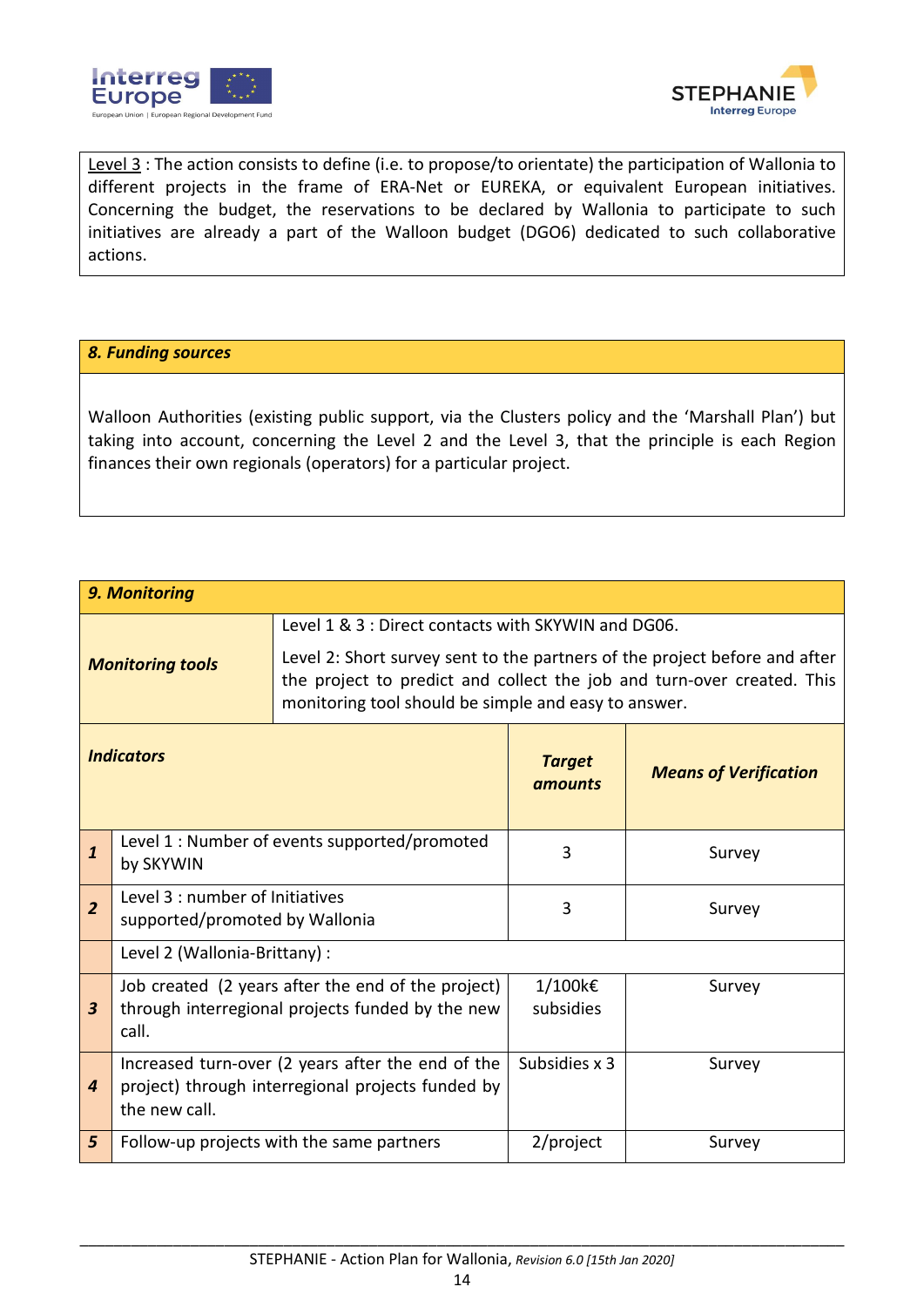



Level 3 : The action consists to define (i.e. to propose/to orientate) the participation of Wallonia to different projects in the frame of ERA-Net or EUREKA, or equivalent European initiatives. Concerning the budget, the reservations to be declared by Wallonia to participate to such initiatives are already a part of the Walloon budget (DGO6) dedicated to such collaborative actions.

#### *8. Funding sources*

Walloon Authorities (existing public support, via the Clusters policy and the 'Marshall Plan') but taking into account, concerning the Level 2 and the Level 3, that the principle is each Region finances their own regionals (operators) for a particular project.

| 9. Monitoring                                                                                                                          |                                                                                                                         |                                                                                                                                                      |                          |                              |
|----------------------------------------------------------------------------------------------------------------------------------------|-------------------------------------------------------------------------------------------------------------------------|------------------------------------------------------------------------------------------------------------------------------------------------------|--------------------------|------------------------------|
| Level 1 & 3 : Direct contacts with SKYWIN and DG06.<br><b>Monitoring tools</b><br>monitoring tool should be simple and easy to answer. |                                                                                                                         | Level 2: Short survey sent to the partners of the project before and after<br>the project to predict and collect the job and turn-over created. This |                          |                              |
|                                                                                                                                        | <b>Indicators</b>                                                                                                       |                                                                                                                                                      | <b>Target</b><br>amounts | <b>Means of Verification</b> |
| $\mathbf{1}$                                                                                                                           | Level 1 : Number of events supported/promoted<br>by SKYWIN                                                              |                                                                                                                                                      | 3                        | Survey                       |
| $\overline{2}$                                                                                                                         | Level 3 : number of Initiatives<br>supported/promoted by Wallonia                                                       |                                                                                                                                                      | 3                        | Survey                       |
|                                                                                                                                        | Level 2 (Wallonia-Brittany) :                                                                                           |                                                                                                                                                      |                          |                              |
| $\boldsymbol{3}$                                                                                                                       | Job created (2 years after the end of the project)<br>through interregional projects funded by the new<br>call.         |                                                                                                                                                      | 1/100k€<br>subsidies     | Survey                       |
| 4                                                                                                                                      | Increased turn-over (2 years after the end of the<br>project) through interregional projects funded by<br>the new call. |                                                                                                                                                      | Subsidies x 3            | Survey                       |
| 5                                                                                                                                      |                                                                                                                         | Follow-up projects with the same partners                                                                                                            | 2/project                | Survey                       |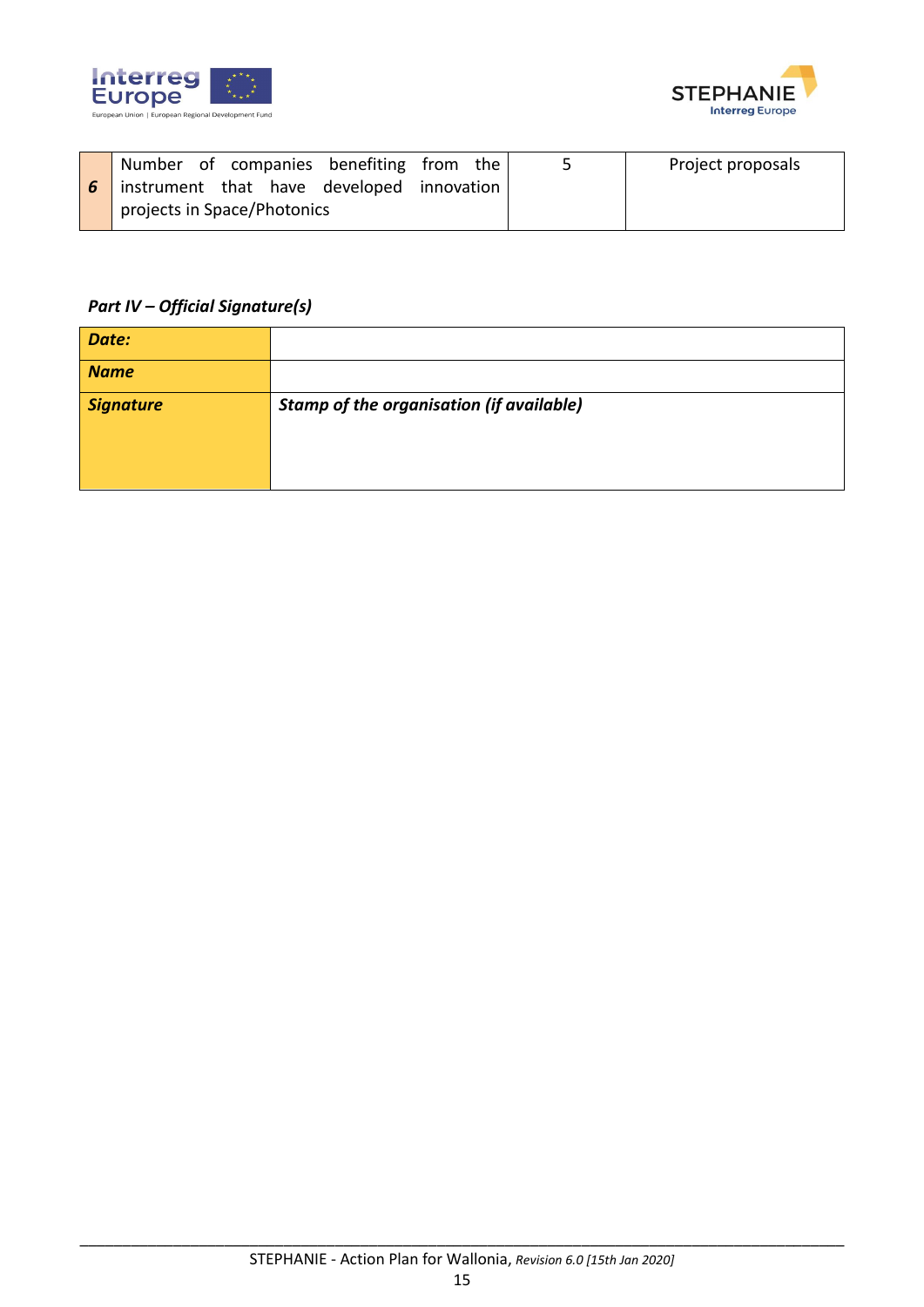



| Number of companies benefiting from the |              | 5 | Project proposals |
|-----------------------------------------|--------------|---|-------------------|
| instrument that have developed          | innovation I |   |                   |
| projects in Space/Photonics             |              |   |                   |

### *Part IV – Official Signature(s)*

| Date:            |                                                 |
|------------------|-------------------------------------------------|
| <b>Name</b>      |                                                 |
| <b>Signature</b> | <b>Stamp of the organisation (if available)</b> |